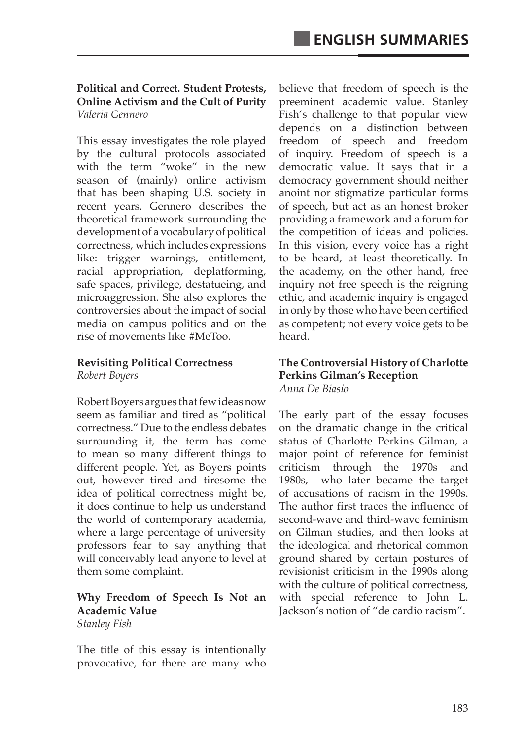### **Political and Correct. Student Protests, Online Activism and the Cult of Purity** *Valeria Gennero*

This essay investigates the role played by the cultural protocols associated with the term "woke" in the new season of (mainly) online activism that has been shaping U.S. society in recent years. Gennero describes the theoretical framework surrounding the development of a vocabulary of political correctness, which includes expressions like: trigger warnings, entitlement, racial appropriation, deplatforming, safe spaces, privilege, destatueing, and microaggression. She also explores the controversies about the impact of social media on campus politics and on the rise of movements like #MeToo.

## **Revisiting Political Correctness** *Robert Boyers*

Robert Boyers argues that few ideas now seem as familiar and tired as "political correctness." Due to the endless debates surrounding it, the term has come to mean so many different things to different people. Yet, as Boyers points out, however tired and tiresome the idea of political correctness might be, it does continue to help us understand the world of contemporary academia, where a large percentage of university professors fear to say anything that will conceivably lead anyone to level at them some complaint.

#### **Why Freedom of Speech Is Not an Academic Value** *Stanley Fish*

The title of this essay is intentionally provocative, for there are many who believe that freedom of speech is the preeminent academic value. Stanley Fish's challenge to that popular view depends on a distinction between freedom of speech and freedom of inquiry. Freedom of speech is a democratic value. It says that in a democracy government should neither anoint nor stigmatize particular forms of speech, but act as an honest broker providing a framework and a forum for the competition of ideas and policies. In this vision, every voice has a right to be heard, at least theoretically. In the academy, on the other hand, free inquiry not free speech is the reigning ethic, and academic inquiry is engaged in only by those who have been certified as competent; not every voice gets to be heard.

### **The Controversial History of Charlotte Perkins Gilman's Reception** *Anna De Biasio*

The early part of the essay focuses on the dramatic change in the critical status of Charlotte Perkins Gilman, a major point of reference for feminist criticism through the 1970s and 1980s, who later became the target of accusations of racism in the 1990s. The author first traces the influence of second-wave and third-wave feminism on Gilman studies, and then looks at the ideological and rhetorical common ground shared by certain postures of revisionist criticism in the 1990s along with the culture of political correctness, with special reference to John L. Jackson's notion of "de cardio racism".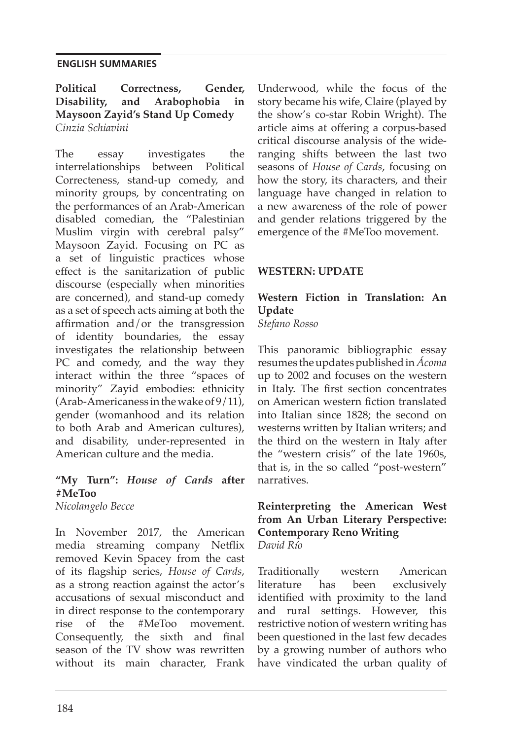## **ENGLISH SUMMARIES**

**Political Correctness, Gender, Disability, and Arabophobia in Maysoon Zayid's Stand Up Comedy**  *Cinzia Schiavini*

The essay investigates the interrelationships between Political Correcteness, stand-up comedy, and minority groups, by concentrating on the performances of an Arab-American disabled comedian, the "Palestinian Muslim virgin with cerebral palsy" Maysoon Zayid. Focusing on PC as a set of linguistic practices whose effect is the sanitarization of public discourse (especially when minorities are concerned), and stand-up comedy as a set of speech acts aiming at both the affirmation and/or the transgression of identity boundaries, the essay investigates the relationship between PC and comedy, and the way they interact within the three "spaces of minority" Zayid embodies: ethnicity (Arab-Americaness in the wake of 9/11), gender (womanhood and its relation to both Arab and American cultures), and disability, under-represented in American culture and the media.

# **"My Turn":** *House of Cards* **after #MeToo**

*Nicolangelo Becce*

In November 2017, the American media streaming company Netflix removed Kevin Spacey from the cast of its flagship series, *House of Cards*, as a strong reaction against the actor's accusations of sexual misconduct and in direct response to the contemporary rise of the #MeToo movement. Consequently, the sixth and final season of the TV show was rewritten without its main character, Frank Underwood, while the focus of the story became his wife, Claire (played by the show's co-star Robin Wright). The article aims at offering a corpus-based critical discourse analysis of the wideranging shifts between the last two seasons of *House of Cards*, focusing on how the story, its characters, and their language have changed in relation to a new awareness of the role of power and gender relations triggered by the emergence of the #MeToo movement.

# **WESTERN: UPDATE**

# **Western Fiction in Translation: An Update**

*Stefano Rosso*

This panoramic bibliographic essay resumes the updates published in *Ácoma* up to 2002 and focuses on the western in Italy. The first section concentrates on American western fiction translated into Italian since 1828; the second on westerns written by Italian writers; and the third on the western in Italy after the "western crisis" of the late 1960s, that is, in the so called "post-western" narratives.

## **Reinterpreting the American West from An Urban Literary Perspective: Contemporary Reno Writing** *David Río*

Traditionally western American literature has been exclusively identified with proximity to the land and rural settings. However, this restrictive notion of western writing has been questioned in the last few decades by a growing number of authors who have vindicated the urban quality of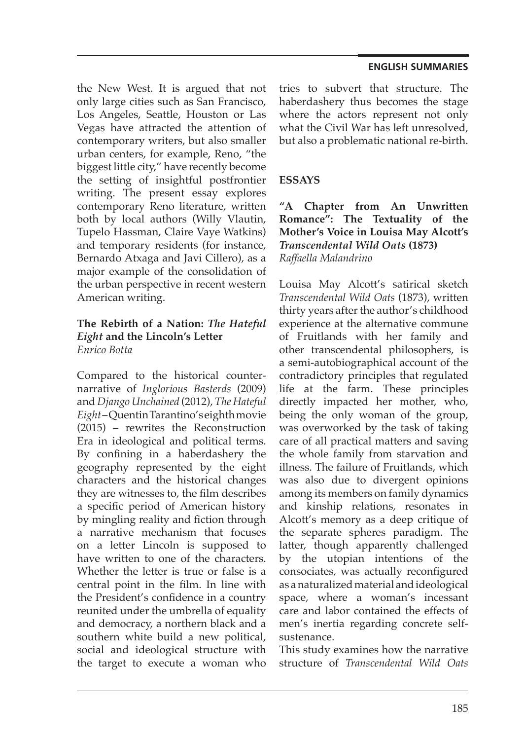#### **ENGLISH SUMMARIES**

the New West. It is argued that not only large cities such as San Francisco, Los Angeles, Seattle, Houston or Las Vegas have attracted the attention of contemporary writers, but also smaller urban centers, for example, Reno, "the biggest little city," have recently become the setting of insightful postfrontier writing. The present essay explores contemporary Reno literature, written both by local authors (Willy Vlautin, Tupelo Hassman, Claire Vaye Watkins) and temporary residents (for instance, Bernardo Atxaga and Javi Cillero), as a major example of the consolidation of the urban perspective in recent western American writing.

## **The Rebirth of a Nation:** *The Hateful Eight* **and the Lincoln's Letter** *Enrico Botta*

Compared to the historical counternarrative of *Inglorious Basterds* (2009) and *Django Unchained* (2012), *The Hateful Eight* – Quentin Tarantino's eighth movie (2015) – rewrites the Reconstruction Era in ideological and political terms. By confining in a haberdashery the geography represented by the eight characters and the historical changes they are witnesses to, the film describes a specific period of American history by mingling reality and fiction through a narrative mechanism that focuses on a letter Lincoln is supposed to have written to one of the characters. Whether the letter is true or false is a central point in the film. In line with the President's confidence in a country reunited under the umbrella of equality and democracy, a northern black and a southern white build a new political, social and ideological structure with the target to execute a woman who

tries to subvert that structure. The haberdashery thus becomes the stage where the actors represent not only what the Civil War has left unresolved, but also a problematic national re-birth.

# **ESSAYS**

**"A Chapter from An Unwritten Romance": The Textuality of the Mother's Voice in Louisa May Alcott's**  *Transcendental Wild Oats* **(1873)** *Raffaella Malandrino*

Louisa May Alcott's satirical sketch *Transcendental Wild Oats* (1873), written thirty years after the author's childhood experience at the alternative commune of Fruitlands with her family and other transcendental philosophers, is a semi-autobiographical account of the contradictory principles that regulated life at the farm. These principles directly impacted her mother, who, being the only woman of the group, was overworked by the task of taking care of all practical matters and saving the whole family from starvation and illness. The failure of Fruitlands, which was also due to divergent opinions among its members on family dynamics and kinship relations, resonates in Alcott's memory as a deep critique of the separate spheres paradigm. The latter, though apparently challenged by the utopian intentions of the consociates, was actually reconfigured as a naturalized material and ideological space, where a woman's incessant care and labor contained the effects of men's inertia regarding concrete selfsustenance.

This study examines how the narrative structure of *Transcendental Wild Oats*